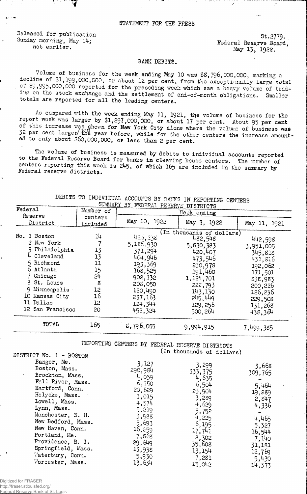Released for publication 2779.<br>
Sunday morning, May 14:<br>
2779.

7

Sunday morning, May 14;<br>not earlier.<br>May 13, 1022, May 14, May 13, 1022 May 13, 1922.

## BANK DEBITS.

Volume of business for the week ending May 10 was \$8,796,000,000, marking a decline of \$1,199,000,COO, or about 12 per cent, from the exceptionally large total of \$9,995,000,000 reported for the preceding week which saw a heavy volume of trading on the stock exchange and the settlement of end-of-month obligations. Smaller totals are reported for all the leading centers.

As compared with the week ending May 11, 1921, the volume of business for the week was larger by \$1,297,000,000, or about 17 per cent. About 95 per cent of this increase was shown for New York City alone where the volume of business was a per cent larger the year before, while for the other centers the increase amounted to only about \$60,000,000, or less than 2 per cent.

The volume of business is measured by debits to individual accounts reported to the Federal Reserve Board for banks in clearing house centers. The number of centers reporting this week is 245, of which 165 are included in the summary by Federal reserve districts.

| SUMMARY BY FEDERAL RESERVE DISTRICTS<br>Federal |           |              |                           |              |  |  |  |
|-------------------------------------------------|-----------|--------------|---------------------------|--------------|--|--|--|
|                                                 | Number of | Week ending  |                           |              |  |  |  |
| Reserve                                         | centers   | May 10, 1922 |                           |              |  |  |  |
| District                                        | included  |              | May 3, 1922               | May 11, 1921 |  |  |  |
|                                                 |           |              | (In thousands of dollars) |              |  |  |  |
| No. 1 Boston                                    | 14        | 425,238      | 482,548                   | 442,598      |  |  |  |
| 2 New York                                      |           | 5,185,930    | 5,830,383                 | 3,951,005    |  |  |  |
| Philadelphia                                    | 13        | 371,294      | 420,407                   | 345.818      |  |  |  |
| 4 Cleveland                                     | 13        | 404,946      | 473,546                   | 431,816      |  |  |  |
| 5 Richmond                                      | 11        | 193,369      | 230,978                   | 192,062      |  |  |  |
| 6 Atlanta                                       | 15        | 168,525      | 191,460                   | 171,501      |  |  |  |
| 7 Chicago                                       | 54        | 902,332      | 1,124,701                 | 838,983      |  |  |  |
| 8 St. Louis                                     | 8         | 206,050      | 222,793                   | 200,226      |  |  |  |
| Minneapolis<br>9                                | 12        | 120,490      | 143,130                   | 126,236      |  |  |  |
| 10 Kansas City                                  | 16        | 237,163      | 245,449                   | 229,508      |  |  |  |
| ll Dallas                                       | 12        | 124,344      | 129,256                   | 131,268      |  |  |  |
| 12 San Francisco                                | 20        | 452,324      | 500,264                   | 438,364      |  |  |  |
| TOTAL                                           | 165       | 5,796,005    | 9,994,915                 | 7,499,385    |  |  |  |

DEBITS TO INDIVIDUAL SUMMARY ACCOUFTS BY 3AKKS IN REPORTING CENTERS

> REPORTING CENTERS BY FEDERAL RESERVE DISTRICTS (In thousands of dollars)

| DIDININI MO' T - DACIAM   |                |                  |         |
|---------------------------|----------------|------------------|---------|
| Bangor, Me.               | 3,127          | 3,299            |         |
| Boston, Mass.             | 290,984        |                  | 3,668   |
| Brockton, Mass.<br>$\sim$ | 4,059          | 333,375<br>4,635 | 309,765 |
| Fall River, Mass.         | 6,350          | 6,504            |         |
| Hartford, Conn.           | 20,629         |                  | 5,464   |
| Holyoke, Mass.            | 3,015          | 23,904           | 19,289  |
| Lowell, Mass.             |                | 3,289            | 2,847   |
| Lynn, Mass.               | 4,574<br>5,219 | 4,629            | 4,336   |
| Manchester, N. H.         |                | 5,752            |         |
| New Bedford, Mass.        | 3,988          | 4,225            | 4,465   |
|                           | 5,693          | 6,195            | 5,327   |
| New Haven, Conn.          | 16,859         | 17,741           | 16,544  |
| Portland, Me.             | 7,868          | 8,302            | 7,140   |
| Providence, R. I.         | 29,649         | 35,608           | 31,181  |
| Springfield, Mass.        | 13,938         | 13,154           | 12,769  |
| Waterbury, Conn.          | 5,930          | 7,281            |         |
| Worcester, Mass.          | 13,634         |                  | 5,430   |
|                           |                | 15,042           | 14,373  |

DISCOPED TO BIG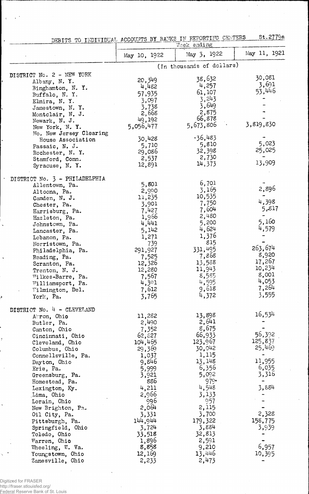|                                      |                 | DEBITS TO INDIVIDUAL ACCOUNTS BY BANKS IN REPORTING CENTERS | 00.61129       |
|--------------------------------------|-----------------|-------------------------------------------------------------|----------------|
|                                      | May 10, 1922    | Week ending<br>May 5, 1922                                  | May 11, 1921   |
|                                      |                 | (In thousands of dollars)                                   |                |
| DISTRICT No. 2 - NEW YORK            |                 |                                                             |                |
| Albany, N.Y.                         | 20,349          | 38,632                                                      | 30,081         |
| Binghamton, N.Y.                     | 4,482           | 4,257                                                       | 3,691          |
| Buffalo, N.Y.                        | 57,935          | 61,107                                                      | 53,446         |
| Elmira, N.Y.                         | 3,097           | 3,243                                                       |                |
| Jamestown, N.Y.                      | 3,738           | 3,649                                                       |                |
| Montclair, N. J.                     | 2,668           | 2,875                                                       |                |
| Newark, N. J.                        | 49,192          | 66,878                                                      |                |
| New York, N.Y.                       | 5,056,477       | 5,673,806                                                   | 3,819,830      |
| No. New Jersey Clearing              |                 | .36,483                                                     |                |
| House Association                    | 30,428          | 5,810                                                       | 5,023          |
| Passaic, N. J.                       | 5,710           | 32,398                                                      | 25,025         |
| Rochester, N.Y.                      | 29,086          | 2,730                                                       |                |
| Stamford, Conn.                      | 2,537<br>12,891 | 14,373                                                      | 13,909         |
| Syracuse, N.Y.                       |                 |                                                             |                |
| DISTRICT No. 3 - PHILADELPHIA        | 5,801           | 6,701                                                       |                |
| Allentown, Pa.                       | 2,990           | 3,165                                                       | 2,896          |
| Altoona, Pa.<br>Camden, N. J.        | 11,235          | 10,535                                                      |                |
| Chester, Pa.                         | 3,901           | 7,750                                                       | 4,398          |
| Harrisburg, Pa.                      | 7,427           | 7,604                                                       | 5,817          |
| Hazleton, Pa.                        | 1,966           | 2,480                                                       |                |
| Johnstown, Pa.                       | 4,441           | 5,200                                                       | 5,160          |
| Lancaster, Pa.                       | 5,142           | 4,624                                                       | 4,579          |
| Lebanon, Pa.                         | 1,271           | 1,376                                                       |                |
| Norristown, Pa.                      | 739             | 815                                                         |                |
| Philadelphia, Pa.                    | 291,927         | 331,495                                                     | 263,674        |
| Reading, Pa.                         | 7,525           | 7,868                                                       | 8,920          |
| Scranton, Pa.                        | 12,326          | 13,538                                                      | 17,267         |
| Trenton, N. J.                       | 12,280          | 11,943                                                      | 10,234         |
| Wilkes-Barre, Pa.                    | 7,567           | 8,585                                                       | 8,001          |
| Williamsport, Pa.                    | 4,301           | 4,595                                                       | 4,053<br>7,264 |
| Wilmington, Del.                     | 7,612           | 9,618                                                       |                |
| York, Pa.                            | 3,765           | 4,372                                                       | 3,555          |
| DISTRICT No. 4 - CLEVELAND           |                 |                                                             |                |
| Arron, Ohio                          | 11,282          | 13,898                                                      | 16,534         |
| Butler, Pa.                          | 2,490           | 2,641                                                       |                |
| Canton, Ohio                         | 7,352           | 8,675                                                       | 56,392         |
| Cincinnati, Ohio                     | 62,827          | 66,933                                                      | 125,837        |
| Cleveland, Ohio                      | 104,465         | 123,967<br>30,042                                           | 25,469         |
| Columbus, Ohio<br>Connellsville, Pa. | 29,369<br>1,037 | 1,115                                                       |                |
| Dayton, Ohio                         | 9,846           | 13, 148                                                     | 11,955         |
| Erie, Pa.                            | 5,999           | 6,356                                                       | 6,035          |
| Greensburg, Pa.                      | 3,921           | 5,092                                                       | 3,316          |
| Homestead, Pa.                       | 886             | $979 -$                                                     |                |
| Lexington, Ky.                       | 4,211           | 4,548                                                       | 3,884          |
| Lima, Ohio                           | 2,966           | 3,133                                                       |                |
| Lorain, Ohio                         | 996             | 957                                                         |                |
| New Brighton, Pa.                    | 2,004           | 2,115                                                       |                |
| Oil City, Pa.                        | 3,331           | 3,700                                                       | 2,328          |
| Pittsburgh, Pa.                      | 144,944         | 179,322                                                     | 158,775        |
| Springfield, Ohio                    | 3,724           | 3,884                                                       | 3,939          |
| Toledo, Ohio                         | 33,518          | 32,813                                                      |                |
| Warren, Ohio                         | 1,896           | 2,591                                                       |                |
| Wheeling, W. Va.                     | 8,858           | 9,210                                                       | 6,957          |
| Youngstown, Ohio                     | 12,169          | 13,446                                                      | 10,395         |
| Zanesville, Ohio                     | 2,233           | 2,473                                                       |                |

DEBITS TO INDIVIDUAL, ACCOUNTS BY BANKS IN REPORTING CENG?ERS St. 2779a

 $\bar{\psi}$ 

 $\ddot{\phantom{0}}$ 

ļ,

 $\ddot{\phantom{0}}$ 

 $\ddot{\phantom{1}}$ 

ż

 $\ddot{\phantom{a}}$ 

 $\ddot{\phantom{0}}$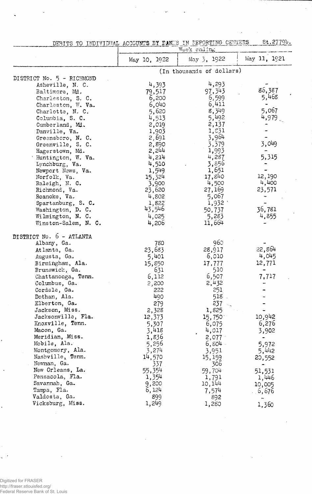|  | DEBITS TO INDIVIDUAL ACCOUNTS BY DANKS IN REPORTING CENTERS (CO.C.) |  |  |  | St.2779b |  |
|--|---------------------------------------------------------------------|--|--|--|----------|--|
|  |                                                                     |  |  |  |          |  |

...

l,

|                           |              | Week ending               |              |
|---------------------------|--------------|---------------------------|--------------|
|                           | May 10, 1922 | May 3, 1922               | May 11, 1921 |
|                           |              | (In thousands of dollars) |              |
| DISTRICT No. 5 - RICHMOND |              |                           |              |
| Asheville, N. C.          | 4,393        | 4,293                     |              |
| Baltimore, Md.            | 79,517       | 97, 343                   | 86,387       |
| Charleston, S. C.         | 6,200        | 6,599                     | 5,468        |
| Charleston, W. Va.        | 6,040        | 6,411                     |              |
| Charlotte, N. C.          | 5,620        | 8,349                     | 5,067        |
| Columbia, S. C.           | 4,513        | 5,492                     | 4,979        |
| Cumberland, Md.           | 2,019        | 2,137                     |              |
| Danville, Va.             | 1,903        | 1,531                     |              |
| Greensboro, N. C.         | 2,691        | 3,964                     |              |
| Greenville, S. C.         | 2,890        | 3,379                     | 3,049        |
| Hagerstown, Md.           | 2,244        | 1,993                     |              |
| Huntington, W. Va.        | 4,214        | 4,287                     | 5,315        |
| Lynchburg, Va.            | 4,510        | 3,856                     |              |
| Newport News, Va.         | 1,549        | 1,651                     |              |
| Norfolk, Va.              | 15,324       | 17,840                    | 12,190       |
| Raleigh, N. C.            | 3,900        | 4,500                     | 4,400        |
| Richmond, Va.             | 23,620       | 27,169                    | 23,571       |
| Roanoke, Va.              | 4,802        | 5,067                     |              |
| Spartanburg, S. C.        | 1,822        | 1,932                     |              |
| Washington, D. C.         | 43,546       | 50,737                    | 36,781       |
| Wilmington, N. C.         | 4,025        | 5,283                     | 4,855        |
| Winston-Salem, N. C.      | 4,206        | 11,664                    |              |
| DISTRICT No. 6 - ATLANTA  |              |                           |              |
| Albany, Ga.               | 780          | 960                       |              |
| Atlanta, Ga.              | 23,683       | 28,917                    | 22,864       |
| Augusta, Ga.              | 5,401        | 6,010                     | 4,045        |
| Birmingham, Ala.          | 15,850       | 17,777                    | 12,771       |
| Brunswick, Ga.            | 631          | 510                       |              |
| Chattanooga, Tenn.        | 6,112        | 6,507                     | 7,717        |
| Columbus, Ga.             | 2,200        | 2,432                     |              |
| Cordele, Ga.              | 222          | 251                       |              |
| Dothan, Ala.              | 490          | 518.                      |              |
| Elberton, Ga.             | 279          | 237                       |              |
| Jackson, Miss.            | 2,328        | 1,825                     |              |
| Jacksonville, Fla.        | 12,373       | $15,750^{\circ}$          | 10,942       |
| Knoxville, Tenn.          | 5,307        | 6,075                     | 6,276        |
| Macon, Ga.                | 3,418        | 4,017                     | 3,902        |
| Meridian, Miss.           | 1,836        | 2,077                     |              |
| Mobile, Ala.              | 5,256        | 6,804                     | 5,972        |
| Montgomery, Ala.          | 3,274        | 3,951                     | 5,442        |
| Nashville, Tenn.          | 14,570       | 15, 159                   | 20,552       |
| Newnan, Ga.               | 337          | 306                       |              |
| New Orleans, La.          | 55,354       | 59,704                    | 51,531       |
| Pensacola, Fla.           | 1,354        | 1,791                     | 1,446        |
| Savannah, Ga.             | 9,200        | 10, 144                   | 10,005       |
| Tampa, Fla.               | 6,124        | 7,574                     | 6,676        |
| Valdosta, Ga.             | 899          | 892                       |              |
| Vicksburg, Miss.          | 1,249        | 1,280                     | 1,360        |

Digitized for FRASER http://fraser.stlouisfed.org/ Federal Reserve Bank of St. Louis

 $\ddot{\phantom{0}}$ 

 $\ddot{\phantom{0}}$ 

J.

 $\bar{t}$ Ų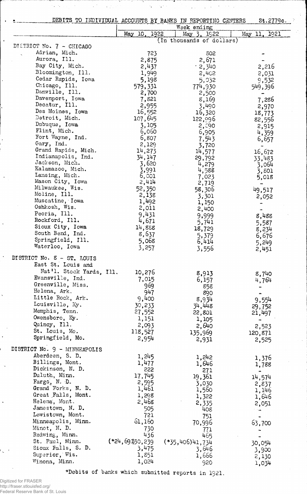DEBITS TO INDIVIDUAL ACCOUNTS BY BANKS IN REPORTING CENTERS Week ending St.2779c. May 10. 1922 May 3. 1Q22 DISTRICT No. 7 - CHICAGO Adrian, Mich. Aurora, 111. Bay City, Mich. Bloomington, Ill. Cedar Rapids, Iowa Chicago, Ill. Danville, Ill. Davenport, Iowa Decatur, Ill. Des Moines, Iowa Detroit, Mich. Dubuque, Iowa Flint, Mich. Fort Wayne, Ind. Gary, Ind. Grand Rapids, Mich. Indianapolis, Ind. Jackson, Mich. Kalamazoo, Mich. Lansing, Mich. Mason City, Iowa Milwaukee, Wis. Moline, 111. Muscatine, • Iowa Oshkosh, Wis. Peoria, 111. Rockford, 111. Sioux City, Iowa South Bend, Ind. Springfield, 111. Waterloo, Iowa DISTRICT No. 8 - ST. LOUIS East St. Louis and (in thousands of dollars) 723 502 2,875 2,671  $\cdot$  2,340 2,402<br>5,032 5,19S 5,032 579,331 774,930 2,500<br>8,169 **7,821** 8,169 2,955 3,490 3,490<br>16,320 107,645 122,096  $\frac{3}{2}$ ,  $\frac{105}{2}$  2,  $\frac{300}{2}$  $\begin{array}{ccc} 3,105 & 2,000 \\ 6,060 & 6,905 \\ 6,807 & 7,543 \\ 2,129 & 3,720 \end{array}$ 6,S07 7,543  $3,720$ <br> $14,577$  $14,273$   $14,577$ 34,147 29,792 3,620 4,279 3,991 4,588 6,001 7,023 2,414 2,719 52,350 58,306  $2,138$   $3,301$ 1,492 1,150 2,011 2,400 9,431 9,999  $^{4}$ , 57 1 5, 74 1 14,858 18,729 8,0<sub>2</sub>1 5,379 5,068 6,4l4 3,257 3,556 May 11, 1921 Nat'l. Stock Yards, Ill. 10,276 8,913<br>Evansville, Ind. 7,015 6,157<br>Greenville, Miss. 969 858<br>Helena, Ark. 947 969 858 Evansville, Ind. 7,015 6,157 Greenville, Miss. <sup>969</sup> <sup>858</sup>  $He$ lena, Ark.  $90$ <br> $947$   $890$ Little Rock, Ark.  $9,400$  8,934 Louisville, Ky.  $30,233$   $34,448$ Memphis, Tenn. 27,552 22,801 Owensboro, Ky. 1,151 1,105 Quincy, Ill. 2,093 2,640 St. Louis, Mo. 118,527 135,969  $Springfield, Mo.$  2,954  $2,954$  2,951 DISTRICT No. 9 - MINNEAPOLIS Aberdeen, S. D. 1,245 1,242 Billings, Mont. 1,477 1,646 Dickinson, N. D. 222 223 271 Duluth, Minn. 17, 745 19, 361  $F\text{arg}\phi$ , N. D.  $2,595$  3,030 Grand Forks, N. D. 1,461 1,560 Great Falls, Mont.  $1,298$   $1,322$ Fargo, N. D.<br>
Crand Forks, N. D.<br>
Creat Falls, Mont.<br>
Helena, Mont.<br>
Jamestown, N. D.<br>
Letter 2,468<br>
2,468<br>
2,335<br>
2,335<br>
2,468<br>
2,335<br>
408 Jamestown, N. D. 505 505 408 Lewistown, Mont. 721 751 Lewistown, Mont.<br>
Minneapolis, Minn. 61,160 70,996<br>
Minot, N. D. 730 771 Minot, N. D. 730 771<br>Redwing, Minn. 436 465 Redwing, Minn.  $436$   $465$  $( *24, 691)30, 239$   $(*35,406)41, 734$ <br>3, 646 Sioux Falls, S. D.  $3,475$  3,  $646$ Sioux Falls, S. D. 3,475<br>
Superior, Wis. 1,851 1,666<br>
Winona, Minn. 1,024 920 2,216 2,031 9,532 549,332<br>549,396 7,286 2,970 18,773 82,556 2,915 4,359 6,657 16,672 33,483 3,064 3, SOI 5,018 49,517 2,052 8,488 5,587 8,234 6,676 5,249 2,451 8,740 4,764 9,554 29,752 21,497 2,523 120,871 2,525 1,376 1,788 14,574 2,837 1,146 1,646 2,051 **63,700** 30,054 3,900

♦Debits of banks which submitted reports in 1921.

2,130 1,034

 $W$ inona, Minn,  $1,024$  920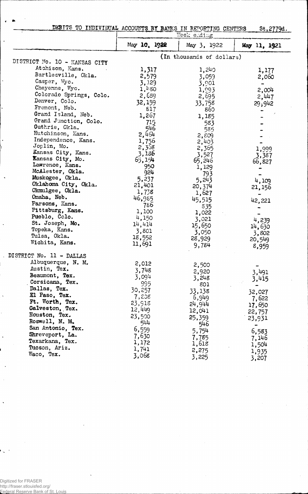|  | DEBITS TO INDIVIDUAL ACCOUNTS BY BANKS IN REPORTING CENTERS |  |  |  | St.2779d.<br>and the comparative comparative comparative comparative of the company of the company of the company of the company of the company of the company of the company of the company of the company of the company of the company o |
|--|-------------------------------------------------------------|--|--|--|---------------------------------------------------------------------------------------------------------------------------------------------------------------------------------------------------------------------------------------------|
|  |                                                             |  |  |  |                                                                                                                                                                                                                                             |

|                               | Week ending  |                           |                |  |  |  |  |
|-------------------------------|--------------|---------------------------|----------------|--|--|--|--|
|                               | May 10, 1922 | May 3, 1922               | May 11, 1921   |  |  |  |  |
|                               |              | (In thousands of dollars) |                |  |  |  |  |
| DISTRICT No. 10 - KANSAS CITY |              |                           |                |  |  |  |  |
| Atchison, Kans.               | 1,317        | 1,240                     | 1,177          |  |  |  |  |
| Bartlesville, Okla.           | 2,579        | 3,059                     | 2,060          |  |  |  |  |
| Casper, Wyo.                  | 3,129        | 3,901                     |                |  |  |  |  |
| Cheyenne, Wyo.                | 1,480        | 1,993                     | 2,004          |  |  |  |  |
| Colorado Springs, Colo.       | 2,689        | 2,695                     | 2,447          |  |  |  |  |
| Denver, Colo.                 | 32,159       | 33,758                    | 29,942         |  |  |  |  |
| Fremont, Neb.                 | 817          | 860                       |                |  |  |  |  |
| Grand Island, Neb.            | 1,267        | 1,185                     |                |  |  |  |  |
| Grand Junction, Colo.         | 715          | 583                       |                |  |  |  |  |
| Guthrie, Okla.                | 546          | 585                       |                |  |  |  |  |
| Hutchinson, Kans.             | 2,464        | $2, \mathcal{E}09$        |                |  |  |  |  |
| Independence, Kans.           | 1,756        | 2,403                     |                |  |  |  |  |
| Joplin, Mo.                   | 2,358        | 2,365                     | 1,999          |  |  |  |  |
| Kansas City, Kans.            | 3,186        | 3,527                     | 3,387          |  |  |  |  |
| Kansas City, Mo.              | 65,154       | 65,246                    | 66,827         |  |  |  |  |
| Lawrence, Kans.               | 950          | 1,129                     |                |  |  |  |  |
| McAlester, Okla.              | 924          | 793                       |                |  |  |  |  |
| Muskogee, Okla.               | 5,237        | 5,243                     | 4,109          |  |  |  |  |
| Oklahoma City, Okla.          | 21,401       | 20,374                    | 21,156         |  |  |  |  |
| Okmulgee, Okla.               | 1,738        | 1,627                     |                |  |  |  |  |
| Omaha, Neb.                   | 46,985       | 45,515                    | 42,221         |  |  |  |  |
| Parsons, Kans.                | -786         | 835                       |                |  |  |  |  |
| Pittsburg, Kans.              | 1,100        | 1,022                     |                |  |  |  |  |
| Pueblo, Colo.                 | 4,150        | 3,021                     | 4,239          |  |  |  |  |
| St. Joseph, Mo.               | 14,414       | 15,650                    | 14,630         |  |  |  |  |
| Topeka, Kans.                 | 3,801        | 3,050                     | 3,802          |  |  |  |  |
| Tulsa, Okla.                  | 18,552       | 28,929                    | 20,549         |  |  |  |  |
| Wichita, Kans.                | 11,691       | 9,784                     | 8,959          |  |  |  |  |
| DISTRICT No. 11 - DALLAS      |              |                           |                |  |  |  |  |
| Albuquerque, N. M.            | 2,012        | 2,500                     |                |  |  |  |  |
| Austin, Tex.                  | 3,748        | 2,920                     |                |  |  |  |  |
| Beaumont, Tex.                | 3,094        | 3,248                     | 3,491          |  |  |  |  |
| Corsicana, Tex.               | 995          | 801                       | 3,415          |  |  |  |  |
| Dallas, Tex.                  | 30,257       | 33,138                    |                |  |  |  |  |
| El Paso, Tex.                 | 7,208        | 6,949                     | 32,027         |  |  |  |  |
| Ft. Worth, Tex.               | 23,918       | 24,944                    | 7,622          |  |  |  |  |
| Galveston, Tex.               | 12,449       | 12,041                    | 17,650         |  |  |  |  |
| Houston, Tex.                 | 23,500       | 25,359                    | 22,757         |  |  |  |  |
| Roswell, N. M.                | 544          | 546                       | 23,931         |  |  |  |  |
| San Antonio, Tex.             | 6,559        |                           |                |  |  |  |  |
| Shreveport, La.               | 7,630        | 5,754                     | 6,583          |  |  |  |  |
| Texarkana, Tex.               | 1,172        | 7,785<br>1,618            | 7,146          |  |  |  |  |
| Tucson, Ariz.                 | 1,741        |                           | 1,504          |  |  |  |  |
| Waco, Tex.                    | 3,068        | 2,275<br>3,225            | 1,935<br>3,207 |  |  |  |  |

Digitized for FRASER http://fraser.stlouisfed.org/ Federal Reserve Bank of St. Louis